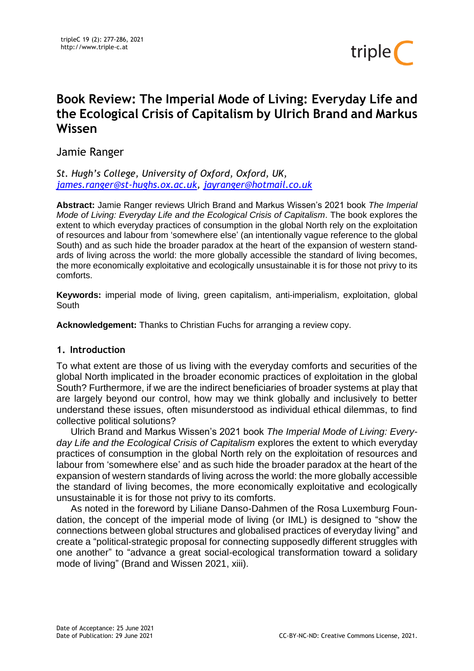

# **Book Review: The Imperial Mode of Living: Everyday Life and the Ecological Crisis of Capitalism by Ulrich Brand and Markus Wissen**

Jamie Ranger

*St. Hugh's College, University of Oxford, Oxford, UK, [james.ranger@st-hughs.ox.ac.uk,](mailto:james.ranger@st-hughs.ox.ac.uk) [jayranger@hotmail.co.uk](mailto:jayranger@hotmail.co.uk)*

**Abstract:** Jamie Ranger reviews Ulrich Brand and Markus Wissen's 2021 book *The Imperial Mode of Living: Everyday Life and the Ecological Crisis of Capitalism*. The book explores the extent to which everyday practices of consumption in the global North rely on the exploitation of resources and labour from 'somewhere else' (an intentionally vague reference to the global South) and as such hide the broader paradox at the heart of the expansion of western standards of living across the world: the more globally accessible the standard of living becomes, the more economically exploitative and ecologically unsustainable it is for those not privy to its comforts.

**Keywords:** imperial mode of living, green capitalism, anti-imperialism, exploitation, global South

**Acknowledgement:** Thanks to Christian Fuchs for arranging a review copy.

# **1. Introduction**

To what extent are those of us living with the everyday comforts and securities of the global North implicated in the broader economic practices of exploitation in the global South? Furthermore, if we are the indirect beneficiaries of broader systems at play that are largely beyond our control, how may we think globally and inclusively to better understand these issues, often misunderstood as individual ethical dilemmas, to find collective political solutions?

Ulrich Brand and Markus Wissen's 2021 book *The Imperial Mode of Living: Everyday Life and the Ecological Crisis of Capitalism* explores the extent to which everyday practices of consumption in the global North rely on the exploitation of resources and labour from 'somewhere else' and as such hide the broader paradox at the heart of the expansion of western standards of living across the world: the more globally accessible the standard of living becomes, the more economically exploitative and ecologically unsustainable it is for those not privy to its comforts.

As noted in the foreword by Liliane Danso-Dahmen of the Rosa Luxemburg Foundation, the concept of the imperial mode of living (or IML) is designed to "show the connections between global structures and globalised practices of everyday living" and create a "political-strategic proposal for connecting supposedly different struggles with one another" to "advance a great social-ecological transformation toward a solidary mode of living" (Brand and Wissen 2021, xiii).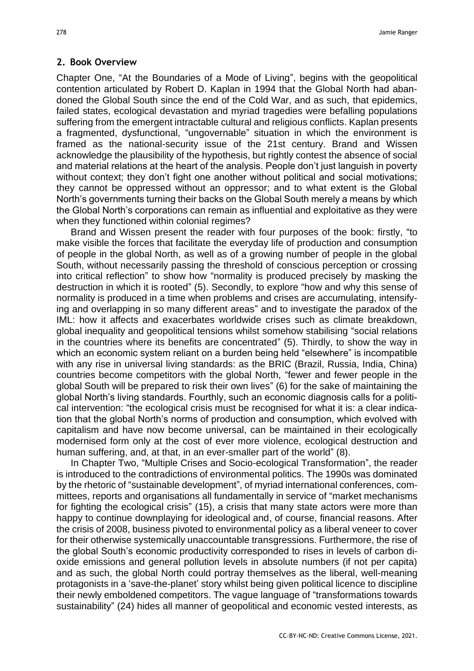#### **2. Book Overview**

Chapter One, "At the Boundaries of a Mode of Living", begins with the geopolitical contention articulated by Robert D. Kaplan in 1994 that the Global North had abandoned the Global South since the end of the Cold War, and as such, that epidemics, failed states, ecological devastation and myriad tragedies were befalling populations suffering from the emergent intractable cultural and religious conflicts. Kaplan presents a fragmented, dysfunctional, "ungovernable" situation in which the environment is framed as the national-security issue of the 21st century. Brand and Wissen acknowledge the plausibility of the hypothesis, but rightly contest the absence of social and material relations at the heart of the analysis. People don't just languish in poverty without context; they don't fight one another without political and social motivations; they cannot be oppressed without an oppressor; and to what extent is the Global North's governments turning their backs on the Global South merely a means by which the Global North's corporations can remain as influential and exploitative as they were when they functioned within colonial regimes?

Brand and Wissen present the reader with four purposes of the book: firstly, "to make visible the forces that facilitate the everyday life of production and consumption of people in the global North, as well as of a growing number of people in the global South, without necessarily passing the threshold of conscious perception or crossing into critical reflection" to show how "normality is produced precisely by masking the destruction in which it is rooted" (5). Secondly, to explore "how and why this sense of normality is produced in a time when problems and crises are accumulating, intensifying and overlapping in so many different areas" and to investigate the paradox of the IML: how it affects and exacerbates worldwide crises such as climate breakdown, global inequality and geopolitical tensions whilst somehow stabilising "social relations in the countries where its benefits are concentrated" (5). Thirdly, to show the way in which an economic system reliant on a burden being held "elsewhere" is incompatible with any rise in universal living standards: as the BRIC (Brazil, Russia, India, China) countries become competitors with the global North, "fewer and fewer people in the global South will be prepared to risk their own lives" (6) for the sake of maintaining the global North's living standards. Fourthly, such an economic diagnosis calls for a political intervention: "the ecological crisis must be recognised for what it is: a clear indication that the global North's norms of production and consumption, which evolved with capitalism and have now become universal, can be maintained in their ecologically modernised form only at the cost of ever more violence, ecological destruction and human suffering, and, at that, in an ever-smaller part of the world" (8).

In Chapter Two, "Multiple Crises and Socio-ecological Transformation", the reader is introduced to the contradictions of environmental politics. The 1990s was dominated by the rhetoric of "sustainable development", of myriad international conferences, committees, reports and organisations all fundamentally in service of "market mechanisms for fighting the ecological crisis" (15), a crisis that many state actors were more than happy to continue downplaying for ideological and, of course, financial reasons. After the crisis of 2008, business pivoted to environmental policy as a liberal veneer to cover for their otherwise systemically unaccountable transgressions. Furthermore, the rise of the global South's economic productivity corresponded to rises in levels of carbon dioxide emissions and general pollution levels in absolute numbers (if not per capita) and as such, the global North could portray themselves as the liberal, well-meaning protagonists in a 'save-the-planet' story whilst being given political licence to discipline their newly emboldened competitors. The vague language of "transformations towards sustainability" (24) hides all manner of geopolitical and economic vested interests, as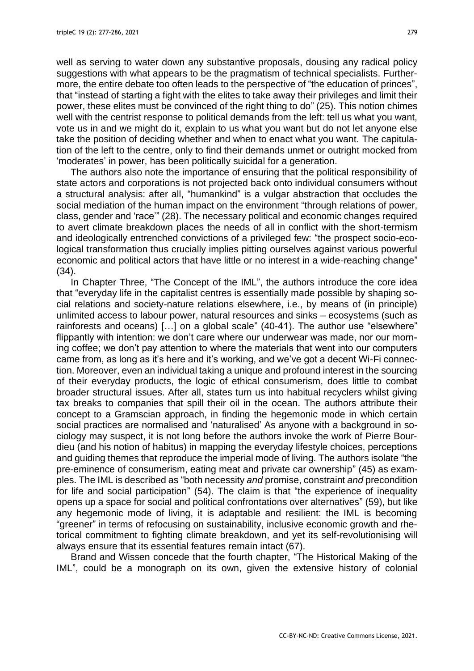well as serving to water down any substantive proposals, dousing any radical policy suggestions with what appears to be the pragmatism of technical specialists. Furthermore, the entire debate too often leads to the perspective of "the education of princes", that "instead of starting a fight with the elites to take away their privileges and limit their power, these elites must be convinced of the right thing to do" (25). This notion chimes well with the centrist response to political demands from the left: tell us what you want, vote us in and we might do it, explain to us what you want but do not let anyone else take the position of deciding whether and when to enact what you want. The capitulation of the left to the centre, only to find their demands unmet or outright mocked from 'moderates' in power, has been politically suicidal for a generation.

The authors also note the importance of ensuring that the political responsibility of state actors and corporations is not projected back onto individual consumers without a structural analysis: after all, "humankind" is a vulgar abstraction that occludes the social mediation of the human impact on the environment "through relations of power, class, gender and 'race'" (28). The necessary political and economic changes required to avert climate breakdown places the needs of all in conflict with the short-termism and ideologically entrenched convictions of a privileged few: "the prospect socio-ecological transformation thus crucially implies pitting ourselves against various powerful economic and political actors that have little or no interest in a wide-reaching change" (34).

In Chapter Three, "The Concept of the IML", the authors introduce the core idea that "everyday life in the capitalist centres is essentially made possible by shaping social relations and society-nature relations elsewhere, i.e., by means of (in principle) unlimited access to labour power, natural resources and sinks – ecosystems (such as rainforests and oceans) […] on a global scale" (40-41). The author use "elsewhere" flippantly with intention: we don't care where our underwear was made, nor our morning coffee; we don't pay attention to where the materials that went into our computers came from, as long as it's here and it's working, and we've got a decent Wi-Fi connection. Moreover, even an individual taking a unique and profound interest in the sourcing of their everyday products, the logic of ethical consumerism, does little to combat broader structural issues. After all, states turn us into habitual recyclers whilst giving tax breaks to companies that spill their oil in the ocean. The authors attribute their concept to a Gramscian approach, in finding the hegemonic mode in which certain social practices are normalised and 'naturalised' As anyone with a background in sociology may suspect, it is not long before the authors invoke the work of Pierre Bourdieu (and his notion of habitus) in mapping the everyday lifestyle choices, perceptions and guiding themes that reproduce the imperial mode of living. The authors isolate "the pre-eminence of consumerism, eating meat and private car ownership" (45) as examples. The IML is described as "both necessity *and* promise, constraint *and* precondition for life and social participation" (54). The claim is that "the experience of inequality opens up a space for social and political confrontations over alternatives" (59), but like any hegemonic mode of living, it is adaptable and resilient: the IML is becoming "greener" in terms of refocusing on sustainability, inclusive economic growth and rhetorical commitment to fighting climate breakdown, and yet its self-revolutionising will always ensure that its essential features remain intact (67).

Brand and Wissen concede that the fourth chapter, "The Historical Making of the IML", could be a monograph on its own, given the extensive history of colonial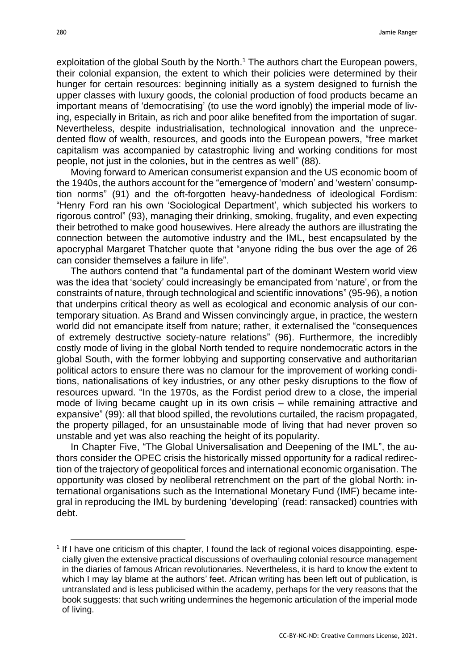exploitation of the global South by the North.<sup>1</sup> The authors chart the European powers, their colonial expansion, the extent to which their policies were determined by their hunger for certain resources: beginning initially as a system designed to furnish the upper classes with luxury goods, the colonial production of food products became an important means of 'democratising' (to use the word ignobly) the imperial mode of living, especially in Britain, as rich and poor alike benefited from the importation of sugar. Nevertheless, despite industrialisation, technological innovation and the unprecedented flow of wealth, resources, and goods into the European powers, "free market capitalism was accompanied by catastrophic living and working conditions for most people, not just in the colonies, but in the centres as well" (88).

Moving forward to American consumerist expansion and the US economic boom of the 1940s, the authors account for the "emergence of 'modern' and 'western' consumption norms" (91) and the oft-forgotten heavy-handedness of ideological Fordism: "Henry Ford ran his own 'Sociological Department', which subjected his workers to rigorous control" (93), managing their drinking, smoking, frugality, and even expecting their betrothed to make good housewives. Here already the authors are illustrating the connection between the automotive industry and the IML, best encapsulated by the apocryphal Margaret Thatcher quote that "anyone riding the bus over the age of 26 can consider themselves a failure in life".

The authors contend that "a fundamental part of the dominant Western world view was the idea that 'society' could increasingly be emancipated from 'nature', or from the constraints of nature, through technological and scientific innovations" (95-96), a notion that underpins critical theory as well as ecological and economic analysis of our contemporary situation. As Brand and Wissen convincingly argue, in practice, the western world did not emancipate itself from nature; rather, it externalised the "consequences of extremely destructive society-nature relations" (96). Furthermore, the incredibly costly mode of living in the global North tended to require nondemocratic actors in the global South, with the former lobbying and supporting conservative and authoritarian political actors to ensure there was no clamour for the improvement of working conditions, nationalisations of key industries, or any other pesky disruptions to the flow of resources upward. "In the 1970s, as the Fordist period drew to a close, the imperial mode of living became caught up in its own crisis – while remaining attractive and expansive" (99): all that blood spilled, the revolutions curtailed, the racism propagated, the property pillaged, for an unsustainable mode of living that had never proven so unstable and yet was also reaching the height of its popularity.

In Chapter Five, "The Global Universalisation and Deepening of the IML", the authors consider the OPEC crisis the historically missed opportunity for a radical redirection of the trajectory of geopolitical forces and international economic organisation. The opportunity was closed by neoliberal retrenchment on the part of the global North: international organisations such as the International Monetary Fund (IMF) became integral in reproducing the IML by burdening 'developing' (read: ransacked) countries with debt.

<sup>&</sup>lt;sup>1</sup> If I have one criticism of this chapter, I found the lack of regional voices disappointing, especially given the extensive practical discussions of overhauling colonial resource management in the diaries of famous African revolutionaries. Nevertheless, it is hard to know the extent to which I may lay blame at the authors' feet. African writing has been left out of publication, is untranslated and is less publicised within the academy, perhaps for the very reasons that the book suggests: that such writing undermines the hegemonic articulation of the imperial mode of living.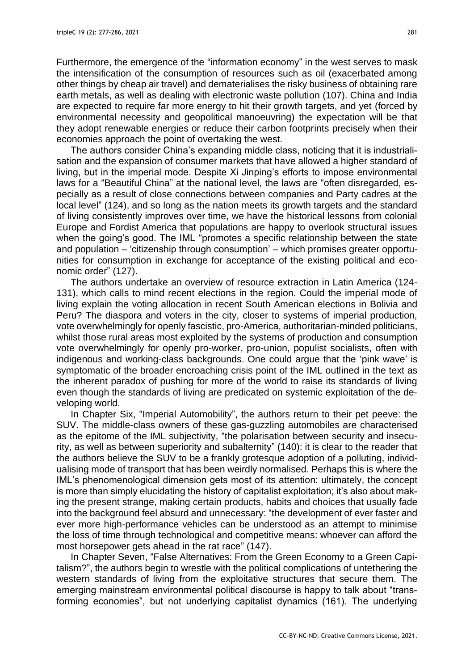Furthermore, the emergence of the "information economy" in the west serves to mask the intensification of the consumption of resources such as oil (exacerbated among other things by cheap air travel) and dematerialises the risky business of obtaining rare earth metals, as well as dealing with electronic waste pollution (107). China and India are expected to require far more energy to hit their growth targets, and yet (forced by environmental necessity and geopolitical manoeuvring) the expectation will be that they adopt renewable energies or reduce their carbon footprints precisely when their economies approach the point of overtaking the west.

The authors consider China's expanding middle class, noticing that it is industrialisation and the expansion of consumer markets that have allowed a higher standard of living, but in the imperial mode. Despite Xi Jinping's efforts to impose environmental laws for a "Beautiful China" at the national level, the laws are "often disregarded, especially as a result of close connections between companies and Party cadres at the local level" (124), and so long as the nation meets its growth targets and the standard of living consistently improves over time, we have the historical lessons from colonial Europe and Fordist America that populations are happy to overlook structural issues when the going's good. The IML "promotes a specific relationship between the state and population – 'citizenship through consumption' – which promises greater opportunities for consumption in exchange for acceptance of the existing political and economic order" (127).

The authors undertake an overview of resource extraction in Latin America (124- 131), which calls to mind recent elections in the region. Could the imperial mode of living explain the voting allocation in recent South American elections in Bolivia and Peru? The diaspora and voters in the city, closer to systems of imperial production, vote overwhelmingly for openly fascistic, pro-America, authoritarian-minded politicians, whilst those rural areas most exploited by the systems of production and consumption vote overwhelmingly for openly pro-worker, pro-union, populist socialists, often with indigenous and working-class backgrounds. One could argue that the 'pink wave' is symptomatic of the broader encroaching crisis point of the IML outlined in the text as the inherent paradox of pushing for more of the world to raise its standards of living even though the standards of living are predicated on systemic exploitation of the developing world.

In Chapter Six, "Imperial Automobility", the authors return to their pet peeve: the SUV. The middle-class owners of these gas-guzzling automobiles are characterised as the epitome of the IML subjectivity, "the polarisation between security and insecurity, as well as between superiority and subalternity" (140): it is clear to the reader that the authors believe the SUV to be a frankly grotesque adoption of a polluting, individualising mode of transport that has been weirdly normalised. Perhaps this is where the IML's phenomenological dimension gets most of its attention: ultimately, the concept is more than simply elucidating the history of capitalist exploitation; it's also about making the present strange, making certain products, habits and choices that usually fade into the background feel absurd and unnecessary: "the development of ever faster and ever more high-performance vehicles can be understood as an attempt to minimise the loss of time through technological and competitive means: whoever can afford the most horsepower gets ahead in the rat race" (147).

In Chapter Seven, "False Alternatives: From the Green Economy to a Green Capitalism?", the authors begin to wrestle with the political complications of untethering the western standards of living from the exploitative structures that secure them. The emerging mainstream environmental political discourse is happy to talk about "transforming economies", but not underlying capitalist dynamics (161). The underlying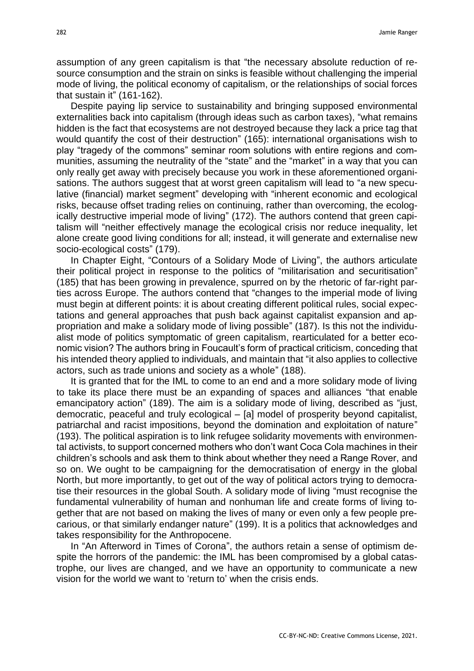assumption of any green capitalism is that "the necessary absolute reduction of resource consumption and the strain on sinks is feasible without challenging the imperial mode of living, the political economy of capitalism, or the relationships of social forces that sustain it" (161-162).

Despite paying lip service to sustainability and bringing supposed environmental externalities back into capitalism (through ideas such as carbon taxes), "what remains hidden is the fact that ecosystems are not destroyed because they lack a price tag that would quantify the cost of their destruction" (165): international organisations wish to play "tragedy of the commons" seminar room solutions with entire regions and communities, assuming the neutrality of the "state" and the "market" in a way that you can only really get away with precisely because you work in these aforementioned organisations. The authors suggest that at worst green capitalism will lead to "a new speculative (financial) market segment" developing with "inherent economic and ecological risks, because offset trading relies on continuing, rather than overcoming, the ecologically destructive imperial mode of living" (172). The authors contend that green capitalism will "neither effectively manage the ecological crisis nor reduce inequality, let alone create good living conditions for all; instead, it will generate and externalise new socio-ecological costs" (179).

In Chapter Eight, "Contours of a Solidary Mode of Living", the authors articulate their political project in response to the politics of "militarisation and securitisation" (185) that has been growing in prevalence, spurred on by the rhetoric of far-right parties across Europe. The authors contend that "changes to the imperial mode of living must begin at different points: it is about creating different political rules, social expectations and general approaches that push back against capitalist expansion and appropriation and make a solidary mode of living possible" (187). Is this not the individualist mode of politics symptomatic of green capitalism, rearticulated for a better economic vision? The authors bring in Foucault's form of practical criticism, conceding that his intended theory applied to individuals, and maintain that "it also applies to collective actors, such as trade unions and society as a whole" (188).

It is granted that for the IML to come to an end and a more solidary mode of living to take its place there must be an expanding of spaces and alliances "that enable emancipatory action" (189). The aim is a solidary mode of living, described as "just, democratic, peaceful and truly ecological – [a] model of prosperity beyond capitalist, patriarchal and racist impositions, beyond the domination and exploitation of nature" (193). The political aspiration is to link refugee solidarity movements with environmental activists, to support concerned mothers who don't want Coca Cola machines in their children's schools and ask them to think about whether they need a Range Rover, and so on. We ought to be campaigning for the democratisation of energy in the global North, but more importantly, to get out of the way of political actors trying to democratise their resources in the global South. A solidary mode of living "must recognise the fundamental vulnerability of human and nonhuman life and create forms of living together that are not based on making the lives of many or even only a few people precarious, or that similarly endanger nature" (199). It is a politics that acknowledges and takes responsibility for the Anthropocene.

In "An Afterword in Times of Corona", the authors retain a sense of optimism despite the horrors of the pandemic: the IML has been compromised by a global catastrophe, our lives are changed, and we have an opportunity to communicate a new vision for the world we want to 'return to' when the crisis ends.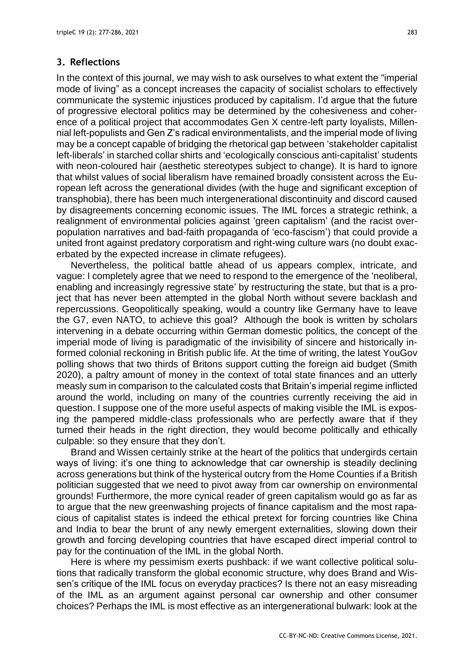## **3. Reflections**

In the context of this journal, we may wish to ask ourselves to what extent the "imperial mode of living" as a concept increases the capacity of socialist scholars to effectively communicate the systemic injustices produced by capitalism. I'd argue that the future of progressive electoral politics may be determined by the cohesiveness and coherence of a political project that accommodates Gen X centre-left party loyalists, Millennial left-populists and Gen Z's radical environmentalists, and the imperial mode of living may be a concept capable of bridging the rhetorical gap between 'stakeholder capitalist left-liberals' in starched collar shirts and 'ecologically conscious anti-capitalist' students with neon-coloured hair (aesthetic stereotypes subject to change). It is hard to ignore that whilst values of social liberalism have remained broadly consistent across the European left across the generational divides (with the huge and significant exception of transphobia), there has been much intergenerational discontinuity and discord caused by disagreements concerning economic issues. The IML forces a strategic rethink, a realignment of environmental policies against 'green capitalism' (and the racist overpopulation narratives and bad-faith propaganda of 'eco-fascism') that could provide a united front against predatory corporatism and right-wing culture wars (no doubt exacerbated by the expected increase in climate refugees).

Nevertheless, the political battle ahead of us appears complex, intricate, and vague: I completely agree that we need to respond to the emergence of the 'neoliberal, enabling and increasingly regressive state' by restructuring the state, but that is a project that has never been attempted in the global North without severe backlash and repercussions. Geopolitically speaking, would a country like Germany have to leave the G7, even NATO, to achieve this goal? Although the book is written by scholars intervening in a debate occurring within German domestic politics, the concept of the imperial mode of living is paradigmatic of the invisibility of sincere and historically informed colonial reckoning in British public life. At the time of writing, the latest YouGov polling shows that two thirds of Britons support cutting the foreign aid budget (Smith 2020), a paltry amount of money in the context of total state finances and an utterly measly sum in comparison to the calculated costs that Britain's imperial regime inflicted around the world, including on many of the countries currently receiving the aid in question. I suppose one of the more useful aspects of making visible the IML is exposing the pampered middle-class professionals who are perfectly aware that if they turned their heads in the right direction, they would become politically and ethically culpable: so they ensure that they don't.

Brand and Wissen certainly strike at the heart of the politics that undergirds certain ways of living: it's one thing to acknowledge that car ownership is steadily declining across generations but think of the hysterical outcry from the Home Counties if a British politician suggested that we need to pivot away from car ownership on environmental grounds! Furthermore, the more cynical reader of green capitalism would go as far as to argue that the new greenwashing projects of finance capitalism and the most rapacious of capitalist states is indeed the ethical pretext for forcing countries like China and India to bear the brunt of any newly emergent externalities, slowing down their growth and forcing developing countries that have escaped direct imperial control to pay for the continuation of the IML in the global North.

Here is where my pessimism exerts pushback: if we want collective political solutions that radically transform the global economic structure, why does Brand and Wissen's critique of the IML focus on everyday practices? Is there not an easy misreading of the IML as an argument against personal car ownership and other consumer choices? Perhaps the IML is most effective as an intergenerational bulwark: look at the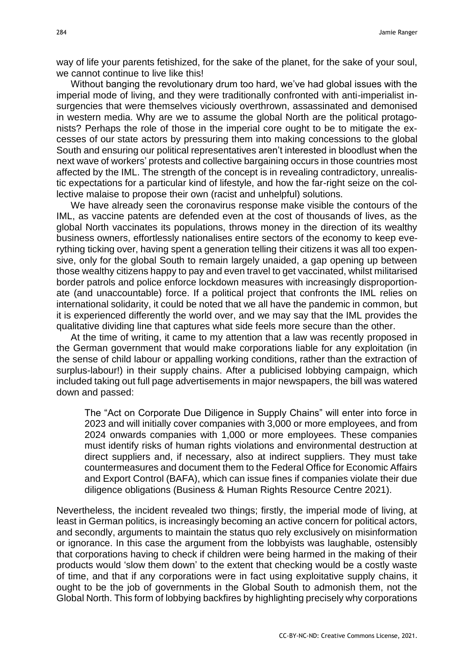way of life your parents fetishized, for the sake of the planet, for the sake of your soul, we cannot continue to live like this!

Without banging the revolutionary drum too hard, we've had global issues with the imperial mode of living, and they were traditionally confronted with anti-imperialist insurgencies that were themselves viciously overthrown, assassinated and demonised in western media. Why are we to assume the global North are the political protagonists? Perhaps the role of those in the imperial core ought to be to mitigate the excesses of our state actors by pressuring them into making concessions to the global South and ensuring our political representatives aren't interested in bloodlust when the next wave of workers' protests and collective bargaining occurs in those countries most affected by the IML. The strength of the concept is in revealing contradictory, unrealistic expectations for a particular kind of lifestyle, and how the far-right seize on the collective malaise to propose their own (racist and unhelpful) solutions.

We have already seen the coronavirus response make visible the contours of the IML, as vaccine patents are defended even at the cost of thousands of lives, as the global North vaccinates its populations, throws money in the direction of its wealthy business owners, effortlessly nationalises entire sectors of the economy to keep everything ticking over, having spent a generation telling their citizens it was all too expensive, only for the global South to remain largely unaided, a gap opening up between those wealthy citizens happy to pay and even travel to get vaccinated, whilst militarised border patrols and police enforce lockdown measures with increasingly disproportionate (and unaccountable) force. If a political project that confronts the IML relies on international solidarity, it could be noted that we all have the pandemic in common, but it is experienced differently the world over, and we may say that the IML provides the qualitative dividing line that captures what side feels more secure than the other.

At the time of writing, it came to my attention that a law was recently proposed in the German government that would make corporations liable for any exploitation (in the sense of child labour or appalling working conditions, rather than the extraction of surplus-labour!) in their supply chains. After a publicised lobbying campaign, which included taking out full page advertisements in major newspapers, the bill was watered down and passed:

The "Act on Corporate Due Diligence in Supply Chains" will enter into force in 2023 and will initially cover companies with 3,000 or more employees, and from 2024 onwards companies with 1,000 or more employees. These companies must identify risks of human rights violations and environmental destruction at direct suppliers and, if necessary, also at indirect suppliers. They must take countermeasures and document them to the Federal Office for Economic Affairs and Export Control (BAFA), which can issue fines if companies violate their due diligence obligations (Business & Human Rights Resource Centre 2021).

Nevertheless, the incident revealed two things; firstly, the imperial mode of living, at least in German politics, is increasingly becoming an active concern for political actors, and secondly, arguments to maintain the status quo rely exclusively on misinformation or ignorance. In this case the argument from the lobbyists was laughable, ostensibly that corporations having to check if children were being harmed in the making of their products would 'slow them down' to the extent that checking would be a costly waste of time, and that if any corporations were in fact using exploitative supply chains, it ought to be the job of governments in the Global South to admonish them, not the Global North. This form of lobbying backfires by highlighting precisely why corporations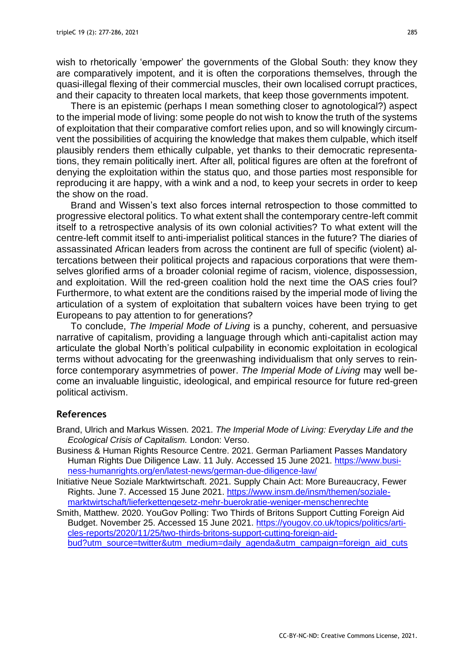wish to rhetorically 'empower' the governments of the Global South: they know they are comparatively impotent, and it is often the corporations themselves, through the quasi-illegal flexing of their commercial muscles, their own localised corrupt practices, and their capacity to threaten local markets, that keep those governments impotent.

There is an epistemic (perhaps I mean something closer to agnotological?) aspect to the imperial mode of living: some people do not wish to know the truth of the systems of exploitation that their comparative comfort relies upon, and so will knowingly circumvent the possibilities of acquiring the knowledge that makes them culpable, which itself plausibly renders them ethically culpable, yet thanks to their democratic representations, they remain politically inert. After all, political figures are often at the forefront of denying the exploitation within the status quo, and those parties most responsible for reproducing it are happy, with a wink and a nod, to keep your secrets in order to keep the show on the road.

Brand and Wissen's text also forces internal retrospection to those committed to progressive electoral politics. To what extent shall the contemporary centre-left commit itself to a retrospective analysis of its own colonial activities? To what extent will the centre-left commit itself to anti-imperialist political stances in the future? The diaries of assassinated African leaders from across the continent are full of specific (violent) altercations between their political projects and rapacious corporations that were themselves glorified arms of a broader colonial regime of racism, violence, dispossession, and exploitation. Will the red-green coalition hold the next time the OAS cries foul? Furthermore, to what extent are the conditions raised by the imperial mode of living the articulation of a system of exploitation that subaltern voices have been trying to get Europeans to pay attention to for generations?

To conclude, *The Imperial Mode of Living* is a punchy, coherent, and persuasive narrative of capitalism, providing a language through which anti-capitalist action may articulate the global North's political culpability in economic exploitation in ecological terms without advocating for the greenwashing individualism that only serves to reinforce contemporary asymmetries of power. *The Imperial Mode of Living* may well become an invaluable linguistic, ideological, and empirical resource for future red-green political activism.

#### **References**

- Brand, Ulrich and Markus Wissen. 2021. *The Imperial Mode of Living: Everyday Life and the Ecological Crisis of Capitalism.* London: Verso.
- Business & Human Rights Resource Centre. 2021. German Parliament Passes Mandatory Human Rights Due Diligence Law. 11 July. Accessed 15 June 2021. [https://www.busi](https://www.business-humanrights.org/en/latest-news/german-due-diligence-law/)[ness-humanrights.org/en/latest-news/german-due-diligence-law/](https://www.business-humanrights.org/en/latest-news/german-due-diligence-law/)
- Initiative Neue Soziale Marktwirtschaft. 2021. Supply Chain Act: More Bureaucracy, Fewer Rights. June 7. Accessed 15 June 2021. [https://www.insm.de/insm/themen/soziale](https://www.insm.de/insm/themen/soziale-marktwirtschaft/lieferkettengesetz-mehr-buerokratie-weniger-menschenrechte)[marktwirtschaft/lieferkettengesetz-mehr-buerokratie-weniger-menschenrechte](https://www.insm.de/insm/themen/soziale-marktwirtschaft/lieferkettengesetz-mehr-buerokratie-weniger-menschenrechte)
- Smith, Matthew. 2020. YouGov Polling: Two Thirds of Britons Support Cutting Foreign Aid Budget. November 25. Accessed 15 June 2021. [https://yougov.co.uk/topics/politics/arti](https://yougov.co.uk/topics/politics/articles-reports/2020/11/25/two-thirds-britons-support-cutting-foreign-aid-bud?utm_source=twitter&utm_medium=daily_agenda&utm_campaign=foreign_aid_cuts)[cles-reports/2020/11/25/two-thirds-britons-support-cutting-foreign-aid](https://yougov.co.uk/topics/politics/articles-reports/2020/11/25/two-thirds-britons-support-cutting-foreign-aid-bud?utm_source=twitter&utm_medium=daily_agenda&utm_campaign=foreign_aid_cuts)[bud?utm\\_source=twitter&utm\\_medium=daily\\_agenda&utm\\_campaign=foreign\\_aid\\_cuts](https://yougov.co.uk/topics/politics/articles-reports/2020/11/25/two-thirds-britons-support-cutting-foreign-aid-bud?utm_source=twitter&utm_medium=daily_agenda&utm_campaign=foreign_aid_cuts)